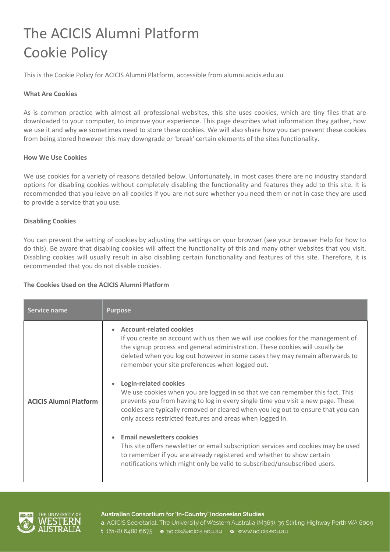# The ACICIS Alumni Platform Cookie Policy

This is the Cookie Policy for ACICIS Alumni Platform, accessible from alumni.acicis.edu.au

### **What Are Cookies**

As is common practice with almost all professional websites, this site uses cookies, which are tiny files that are downloaded to your computer, to improve your experience. This page describes what information they gather, how we use it and why we sometimes need to store these cookies. We will also share how you can prevent these cookies from being stored however this may downgrade or 'break' certain elements of the sites functionality.

#### **How We Use Cookies**

We use cookies for a variety of reasons detailed below. Unfortunately, in most cases there are no industry standard options for disabling cookies without completely disabling the functionality and features they add to this site. It is recommended that you leave on all cookies if you are not sure whether you need them or not in case they are used to provide a service that you use.

### **Disabling Cookies**

You can prevent the setting of cookies by adjusting the settings on your browser (see your browser Help for how to do this). Be aware that disabling cookies will affect the functionality of this and many other websites that you visit. Disabling cookies will usually result in also disabling certain functionality and features of this site. Therefore, it is recommended that you do not disable cookies.

# **The Cookies Used on the ACICIS Alumni Platform**

| Service name                  | <b>Purpose</b>                                                                                                                                                                                                                                                                                                                                                                    |
|-------------------------------|-----------------------------------------------------------------------------------------------------------------------------------------------------------------------------------------------------------------------------------------------------------------------------------------------------------------------------------------------------------------------------------|
| <b>ACICIS Alumni Platform</b> | <b>Account-related cookies</b><br>If you create an account with us then we will use cookies for the management of<br>the signup process and general administration. These cookies will usually be<br>deleted when you log out however in some cases they may remain afterwards to<br>remember your site preferences when logged out.<br><b>Login-related cookies</b><br>$\bullet$ |
|                               | We use cookies when you are logged in so that we can remember this fact. This<br>prevents you from having to log in every single time you visit a new page. These<br>cookies are typically removed or cleared when you log out to ensure that you can<br>only access restricted features and areas when logged in.                                                                |
|                               | <b>Email newsletters cookies</b><br>$\bullet$<br>This site offers newsletter or email subscription services and cookies may be used<br>to remember if you are already registered and whether to show certain<br>notifications which might only be valid to subscribed/unsubscribed users.                                                                                         |



#### Australian Consortium for 'In-Country' Indonesian Studies

a ACICIS Secretariat, The University of Western Australia (M363), 35 Stirling Highway Perth WA 6009 t (61-8) 6488 6675 e acicis@acicis.edu.au w www.acicis.edu.au